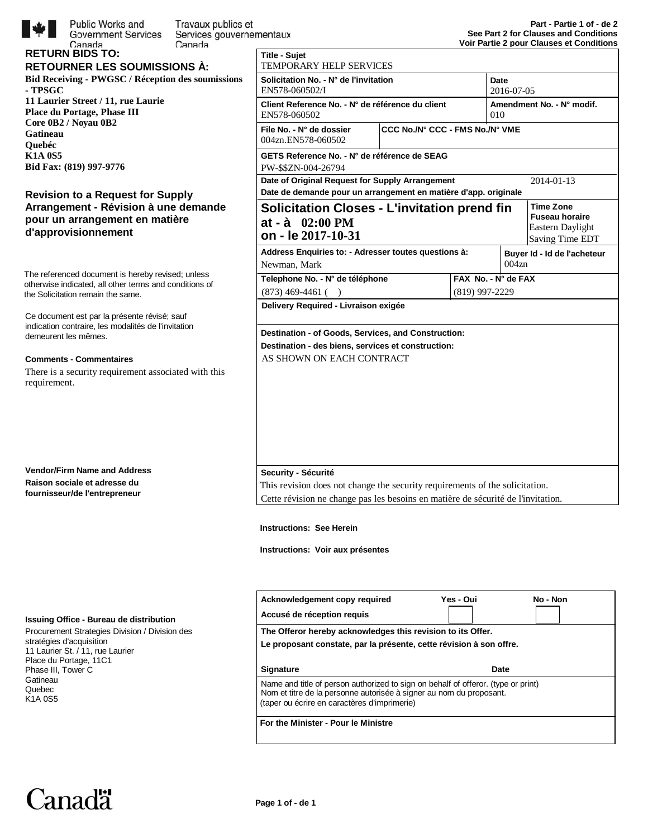

| Public Works and<br>Travaux publics et<br><b>Government Services</b><br>Services gouvernementaux<br>Canada<br>Canada<br><b>RETURN BIDS TO:</b><br><b>RETOURNER LES SOUMISSIONS À:</b><br><b>Bid Receiving - PWGSC / Réception des soumissions</b><br>- TPSGC<br>11 Laurier Street / 11, rue Laurie<br><b>Place du Portage, Phase III</b><br>Core 0B2 / Noyau 0B2<br>Gatineau<br>Ouebéc<br><b>K1A 0S5</b><br>Bid Fax: (819) 997-9776 | <b>Title - Sujet</b><br><b>TEMPORARY</b><br><b>Solicitation No.</b><br>EN578-060502/<br><b>Client Referenc</b><br>EN578-060502<br>File No. - N° de<br>004zn.EN578-0<br><b>GETS Referenc</b><br>PW-\$\$ZN-004-<br>Date of Original |
|-------------------------------------------------------------------------------------------------------------------------------------------------------------------------------------------------------------------------------------------------------------------------------------------------------------------------------------------------------------------------------------------------------------------------------------|-----------------------------------------------------------------------------------------------------------------------------------------------------------------------------------------------------------------------------------|
| <b>Revision to a Request for Supply</b><br>Arrangement - Révision à une demande<br>pour un arrangement en matière<br>d'approvisionnement                                                                                                                                                                                                                                                                                            | Date de demand<br><b>Solicitatio</b><br>at - $\dot{a}$ 02:0<br>on - le 201'                                                                                                                                                       |
| The referenced document is hereby revised; unless<br>otherwise indicated, all other terms and conditions of<br>the Solicitation remain the same.<br>Ce document est par la présente révisé; sauf<br>indication contraire, les modalités de l'invitation<br>demeurent les mêmes.<br><b>Comments - Commentaires</b><br>There is a security requirement associated with this<br>requirement.                                           | <b>Address Enquir</b><br>Newman, Mark<br>Telephone No. .<br>$(873)$ 469-4461<br><b>Delivery Requir</b><br>Destination - of<br>Destination - de<br>AS SHOWN O                                                                      |
| <b>Vendor/Firm Name and Address</b><br>Raison sociale et adresse du<br>fournisseur/de l'entrepreneur                                                                                                                                                                                                                                                                                                                                | Security - Sécu<br>This revision do<br>Cette révision n<br>Instructions: S                                                                                                                                                        |
|                                                                                                                                                                                                                                                                                                                                                                                                                                     | Instructions: V<br>Acknowledgem                                                                                                                                                                                                   |

| <b>TEMPORARY HELP SERVICES</b>                                                                                                                                                           |                                 |                                  |  |            |
|------------------------------------------------------------------------------------------------------------------------------------------------------------------------------------------|---------------------------------|----------------------------------|--|------------|
| Solicitation No. - N° de l'invitation<br>EN578-060502/I                                                                                                                                  |                                 | Date<br>2016-07-05               |  |            |
| Client Reference No. - N° de référence du client<br>EN578-060502                                                                                                                         |                                 | Amendment No. - N° modif.<br>010 |  |            |
| File No. - N° de dossier<br>004zn.EN578-060502                                                                                                                                           | CCC No./N° CCC - FMS No./N° VME |                                  |  |            |
| GETS Reference No. - N° de référence de SEAG<br>PW-\$\$ZN-004-26794                                                                                                                      |                                 |                                  |  |            |
| Date of Original Request for Supply Arrangement<br>Date de demande pour un arrangement en matière d'app. originale                                                                       |                                 |                                  |  | 2014-01-13 |
| <b>Time Zone</b><br><b>Solicitation Closes - L'invitation prend fin</b><br><b>Fuseau horaire</b><br>$at - \hat{a}$ 02:00 PM<br>Eastern Daylight<br>on - le 2017-10-31<br>Saving Time EDT |                                 |                                  |  |            |
| Address Enquiries to: - Adresser toutes questions à:<br>004zn<br>Newman, Mark                                                                                                            |                                 | Buyer Id - Id de l'acheteur      |  |            |
| Telephone No. - N° de téléphone                                                                                                                                                          |                                 | FAX No. - N° de FAX              |  |            |
| $(873)$ 469-4461 ()                                                                                                                                                                      | (819) 997-2229                  |                                  |  |            |
| Delivery Required - Livraison exigée                                                                                                                                                     |                                 |                                  |  |            |
| Destination - of Goods, Services, and Construction:                                                                                                                                      |                                 |                                  |  |            |
| Destination - des biens, services et construction:                                                                                                                                       |                                 |                                  |  |            |
| AS SHOWN ON EACH CONTRACT                                                                                                                                                                |                                 |                                  |  |            |
|                                                                                                                                                                                          |                                 |                                  |  |            |
|                                                                                                                                                                                          |                                 |                                  |  |            |
| Security - Sécurité                                                                                                                                                                      |                                 |                                  |  |            |
| This revision does not change the security requirements of the solicitation.                                                                                                             |                                 |                                  |  |            |

**Iee Herein** 

*<u>Instructions</u>* 

| Acknowledgement copy required<br>Accusé de réception requis                                                                                                                                              | Yes - Oui | No - Non |
|----------------------------------------------------------------------------------------------------------------------------------------------------------------------------------------------------------|-----------|----------|
| The Offeror hereby acknowledges this revision to its Offer.<br>Le proposant constate, par la présente, cette révision à son offre.                                                                       |           |          |
| <b>Signature</b>                                                                                                                                                                                         | Date      |          |
| Name and title of person authorized to sign on behalf of offeror. (type or print)<br>Nom et titre de la personne autorisée à signer au nom du proposant.<br>(taper ou écrire en caractères d'imprimerie) |           |          |
| For the Minister - Pour le Ministre                                                                                                                                                                      |           |          |

#### **Issuing Office - Bureau de distribution**

Procurement Strategies Division / Division des stratégies d'acquisition 11 Laurier St. / 11, rue Laurier Place du Portage, 11C1 Phase III, Tower C **Gatineau** Quebec K1A 0S5

**Canadä**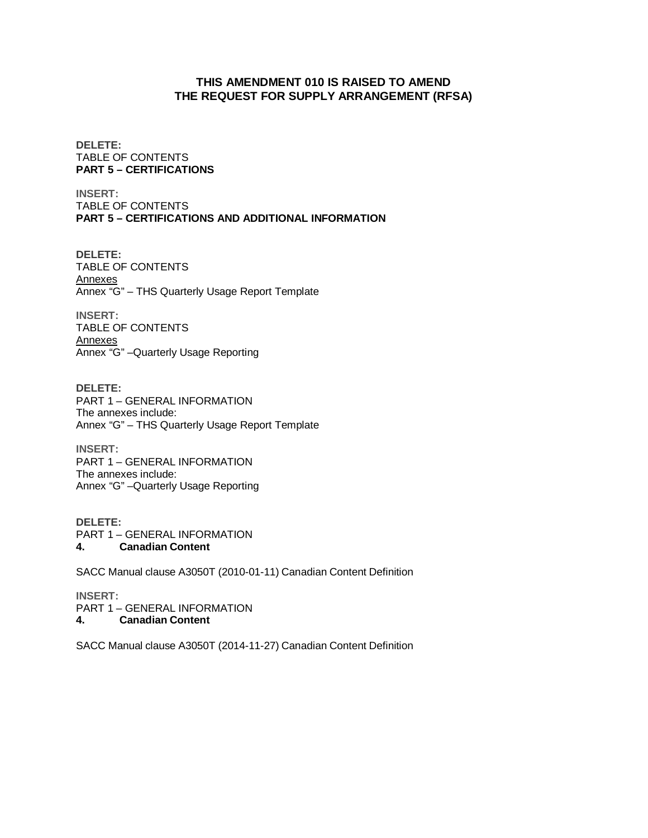# **THIS AMENDMENT 010 IS RAISED TO AMEND THE REQUEST FOR SUPPLY ARRANGEMENT (RFSA)**

**DELETE:**  TABLE OF CONTENTS **PART 5 – CERTIFICATIONS** 

**INSERT:**  TABLE OF CONTENTS **PART 5 – CERTIFICATIONS AND ADDITIONAL INFORMATION**

**DELETE:**  TABLE OF CONTENTS **Annexes** Annex "G" – THS Quarterly Usage Report Template

**INSERT:**  TABLE OF CONTENTS Annexes Annex "G" –Quarterly Usage Reporting

**DELETE:**  PART 1 – GENERAL INFORMATION The annexes include: Annex "G" – THS Quarterly Usage Report Template

**INSERT:**  PART 1 – GENERAL INFORMATION The annexes include: Annex "G" –Quarterly Usage Reporting

**DELETE:**  PART 1 – GENERAL INFORMATION **4. Canadian Content**

SACC Manual clause A3050T (2010-01-11) Canadian Content Definition

**INSERT:** 

PART 1 – GENERAL INFORMATION **4. Canadian Content**

SACC Manual clause A3050T (2014-11-27) Canadian Content Definition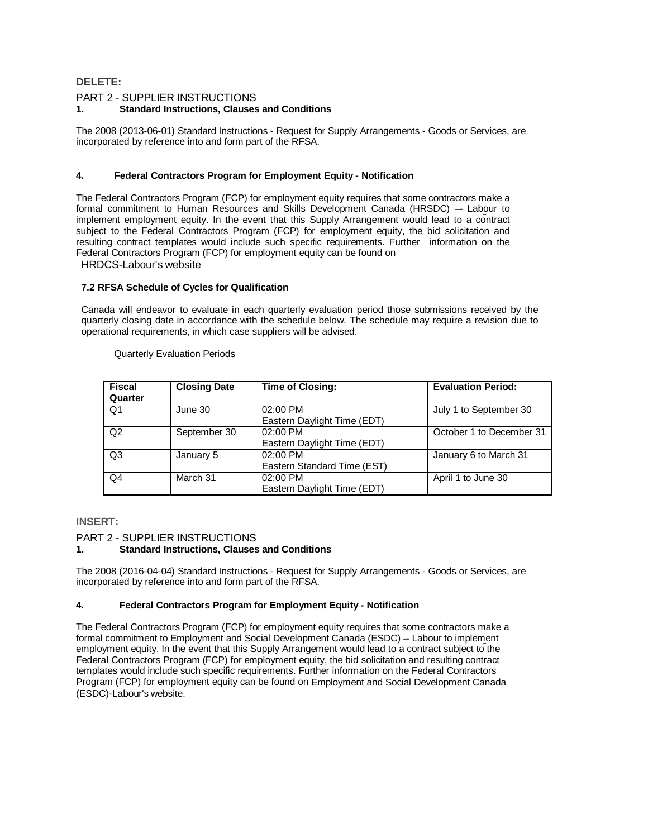## **DELETE:**

#### PART 2 - SUPPLIER INSTRUCTIONS **1. Standard Instructions, Clauses and Conditions**

The 2008 (2013-06-01) Standard Instructions - Request for Supply Arrangements - Goods or Services, are incorporated by reference into and form part of the RFSA.

#### **4. Federal Contractors Program for Employment Equity - Notification**

The Federal Contractors Program (FCP) for employment equity requires that some contractors make a formal commitment to Human Resources and Skills Development Canada (HRSDC)  $-$  Labour to implement employment equity. In the event that this Supply Arrangement would lead to a contract subject to the Federal Contractors Program (FCP) for employment equity, the bid solicitation and resulting contract templates would include such specific requirements. Further information on the Federal Contractors Program (FCP) for employment equity can be found on

HRDCS-Labour's website

#### **7.2 RFSA Schedule of Cycles for Qualification**

Canada will endeavor to evaluate in each quarterly evaluation period those submissions received by the quarterly closing date in accordance with the schedule below. The schedule may require a revision due to operational requirements, in which case suppliers will be advised.

Quarterly Evaluation Periods

| <b>Fiscal</b><br>Quarter | <b>Closing Date</b> | <b>Time of Closing:</b>                   | <b>Evaluation Period:</b> |
|--------------------------|---------------------|-------------------------------------------|---------------------------|
| Q <sub>1</sub>           | June 30             | 02:00 PM<br>Eastern Daylight Time (EDT)   | July 1 to September 30    |
| Q2                       | September 30        | 02:00 PM<br>Eastern Daylight Time (EDT)   | October 1 to December 31  |
| Q <sub>3</sub>           | January 5           | 02:00 PM<br>Eastern Standard Time (EST)   | January 6 to March 31     |
| Q <sub>4</sub>           | March 31            | $02:00$ PM<br>Eastern Daylight Time (EDT) | April 1 to June 30        |

#### **INSERT:**

#### PART 2 - SUPPLIER INSTRUCTIONS

#### **1. Standard Instructions, Clauses and Conditions**

The 2008 (2016-04-04) Standard Instructions - Request for Supply Arrangements - Goods or Services, are incorporated by reference into and form part of the RFSA.

#### **4. Federal Contractors Program for Employment Equity - Notification**

The Federal Contractors Program (FCP) for employment equity requires that some contractors make a formal commitment to Employment and Social Development Canada (ESDC) - Labour to implement employment equity. In the event that this Supply Arrangement would lead to a contract subject to the Federal Contractors Program (FCP) for employment equity, the bid solicitation and resulting contract templates would include such specific requirements. Further information on the Federal Contractors Program (FCP) for employment equity can be found on Employment and Social Development Canada (ESDC)-Labour's website.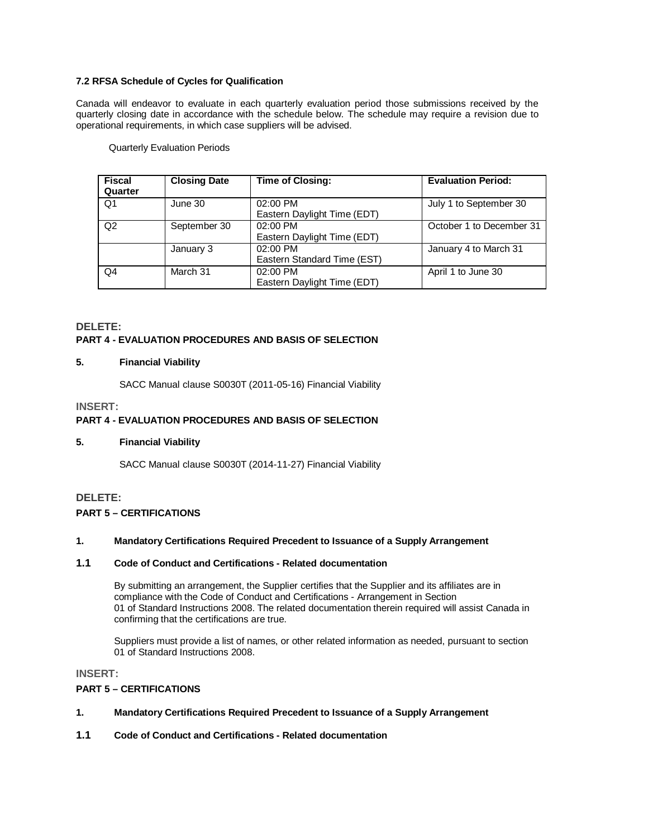### **7.2 RFSA Schedule of Cycles for Qualification**

Canada will endeavor to evaluate in each quarterly evaluation period those submissions received by the quarterly closing date in accordance with the schedule below. The schedule may require a revision due to operational requirements, in which case suppliers will be advised.

Quarterly Evaluation Periods

| <b>Fiscal</b><br>Quarter | <b>Closing Date</b> | <b>Time of Closing:</b>                 | <b>Evaluation Period:</b> |
|--------------------------|---------------------|-----------------------------------------|---------------------------|
| Q1                       | June 30             | 02:00 PM<br>Eastern Daylight Time (EDT) | July 1 to September 30    |
| Q2                       | September 30        | 02:00 PM<br>Eastern Daylight Time (EDT) | October 1 to December 31  |
|                          | January 3           | 02:00 PM<br>Eastern Standard Time (EST) | January 4 to March 31     |
| Q4                       | March 31            | 02:00 PM<br>Eastern Daylight Time (EDT) | April 1 to June 30        |

# **DELETE: PART 4 - EVALUATION PROCEDURES AND BASIS OF SELECTION**

#### **5. Financial Viability**

SACC Manual clause S0030T (2011-05-16) Financial Viability

### **INSERT:**

# **PART 4 - EVALUATION PROCEDURES AND BASIS OF SELECTION**

#### **5. Financial Viability**

SACC Manual clause S0030T (2014-11-27) Financial Viability

#### **DELETE:**

### **PART 5 – CERTIFICATIONS**

## **1. Mandatory Certifications Required Precedent to Issuance of a Supply Arrangement**

#### **1.1 Code of Conduct and Certifications - Related documentation**

 By submitting an arrangement, the Supplier certifies that the Supplier and its affiliates are in compliance with the Code of Conduct and Certifications - Arrangement in Section 01 of Standard Instructions 2008. The related documentation therein required will assist Canada in confirming that the certifications are true.

Suppliers must provide a list of names, or other related information as needed, pursuant to section 01 of Standard Instructions 2008.

#### **INSERT:**

#### **PART 5 – CERTIFICATIONS**

- **1. Mandatory Certifications Required Precedent to Issuance of a Supply Arrangement**
- **1.1 Code of Conduct and Certifications Related documentation**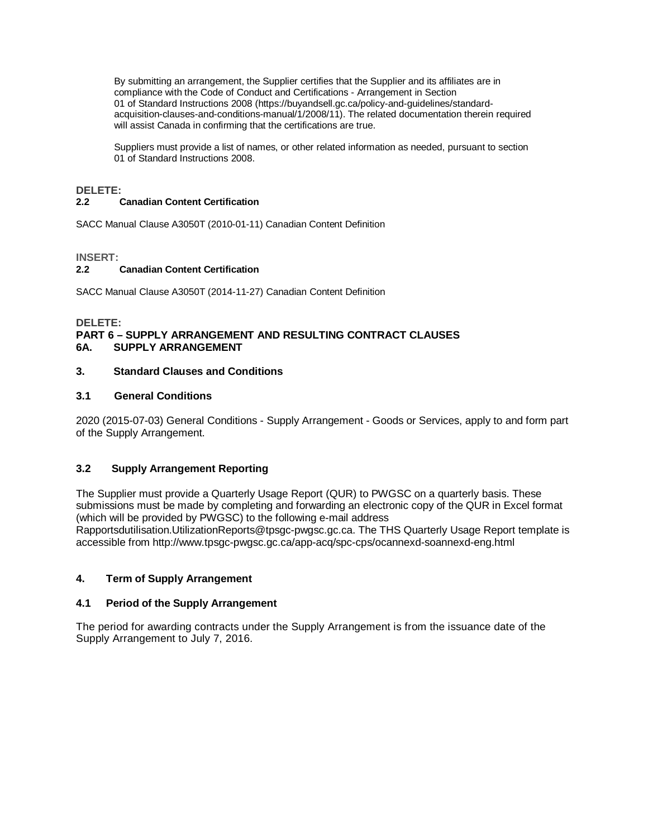By submitting an arrangement, the Supplier certifies that the Supplier and its affiliates are in compliance with the Code of Conduct and Certifications - Arrangement in Section 01 of Standard Instructions 2008 (https://buyandsell.gc.ca/policy-and-guidelines/standardacquisition-clauses-and-conditions-manual/1/2008/11). The related documentation therein required will assist Canada in confirming that the certifications are true.

Suppliers must provide a list of names, or other related information as needed, pursuant to section 01 of Standard Instructions 2008.

### **DELETE:**

### **2.2 Canadian Content Certification**

SACC Manual Clause A3050T (2010-01-11) Canadian Content Definition

### **INSERT:**

### **2.2 Canadian Content Certification**

SACC Manual Clause A3050T (2014-11-27) Canadian Content Definition

### **DELETE: PART 6 – SUPPLY ARRANGEMENT AND RESULTING CONTRACT CLAUSES 6A. SUPPLY ARRANGEMENT**

## **3. Standard Clauses and Conditions**

## **3.1 General Conditions**

2020 (2015-07-03) General Conditions - Supply Arrangement - Goods or Services, apply to and form part of the Supply Arrangement.

## **3.2 Supply Arrangement Reporting**

The Supplier must provide a Quarterly Usage Report (QUR) to PWGSC on a quarterly basis. These submissions must be made by completing and forwarding an electronic copy of the QUR in Excel format (which will be provided by PWGSC) to the following e-mail address Rapportsdutilisation.UtilizationReports@tpsgc-pwgsc.gc.ca. The THS Quarterly Usage Report template is accessible from http://www.tpsgc-pwgsc.gc.ca/app-acq/spc-cps/ocannexd-soannexd-eng.html

## **4. Term of Supply Arrangement**

#### **4.1 Period of the Supply Arrangement**

The period for awarding contracts under the Supply Arrangement is from the issuance date of the Supply Arrangement to July 7, 2016.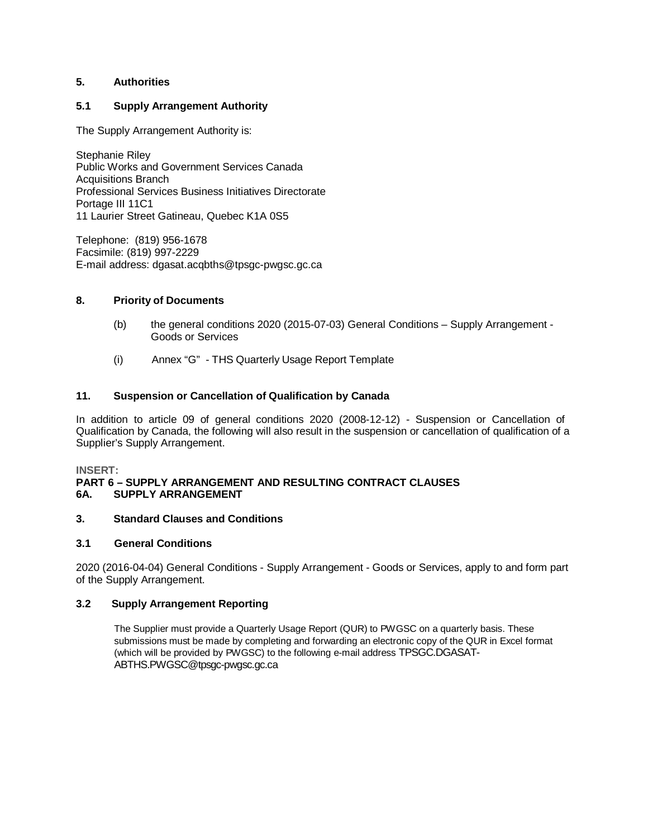## **5. Authorities**

## **5.1 Supply Arrangement Authority**

The Supply Arrangement Authority is:

Stephanie Riley Public Works and Government Services Canada Acquisitions Branch Professional Services Business Initiatives Directorate Portage III 11C1 11 Laurier Street Gatineau, Quebec K1A 0S5

Telephone: (819) 956-1678 Facsimile: (819) 997-2229 E-mail address: dgasat.acqbths@tpsgc-pwgsc.gc.ca

## **8. Priority of Documents**

- (b) the general conditions 2020 (2015-07-03) General Conditions Supply Arrangement Goods or Services
- (i) Annex "G" THS Quarterly Usage Report Template

## **11. Suspension or Cancellation of Qualification by Canada**

In addition to article 09 of general conditions 2020 (2008-12-12) - Suspension or Cancellation of Qualification by Canada, the following will also result in the suspension or cancellation of qualification of a Supplier's Supply Arrangement.

## **INSERT:**

## **PART 6 – SUPPLY ARRANGEMENT AND RESULTING CONTRACT CLAUSES 6A. SUPPLY ARRANGEMENT**

## **3. Standard Clauses and Conditions**

## **3.1 General Conditions**

2020 (2016-04-04) General Conditions - Supply Arrangement - Goods or Services, apply to and form part of the Supply Arrangement.

## **3.2 Supply Arrangement Reporting**

The Supplier must provide a Quarterly Usage Report (QUR) to PWGSC on a quarterly basis. These submissions must be made by completing and forwarding an electronic copy of the QUR in Excel format (which will be provided by PWGSC) to the following e-mail address TPSGC.DGASAT-ABTHS.PWGSC@tpsgc-pwgsc.gc.ca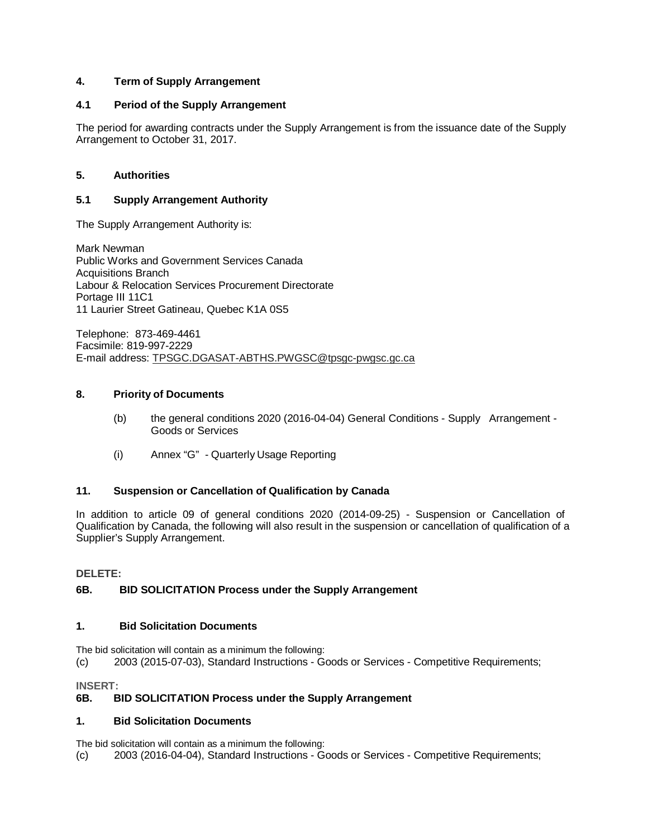## **4. Term of Supply Arrangement**

## **4.1 Period of the Supply Arrangement**

The period for awarding contracts under the Supply Arrangement is from the issuance date of the Supply Arrangement to October 31, 2017.

## **5. Authorities**

## **5.1 Supply Arrangement Authority**

The Supply Arrangement Authority is:

Mark Newman Public Works and Government Services Canada Acquisitions Branch Labour & Relocation Services Procurement Directorate Portage III 11C1 11 Laurier Street Gatineau, Quebec K1A 0S5

Telephone: 873-469-4461 Facsimile: 819-997-2229 E-mail address: TPSGC.DGASAT-ABTHS.PWGSC@tpsgc-pwgsc.gc.ca

## **8. Priority of Documents**

- (b) the general conditions 2020 (2016-04-04) General Conditions Supply Arrangement Goods or Services
- (i) Annex "G" Quarterly Usage Reporting

## **11. Suspension or Cancellation of Qualification by Canada**

In addition to article 09 of general conditions 2020 (2014-09-25) - Suspension or Cancellation of Qualification by Canada, the following will also result in the suspension or cancellation of qualification of a Supplier's Supply Arrangement.

## **DELETE:**

## **6B. BID SOLICITATION Process under the Supply Arrangement**

## **1. Bid Solicitation Documents**

The bid solicitation will contain as a minimum the following: (c) 2003 (2015-07-03), Standard Instructions - Goods or Services - Competitive Requirements;

**INSERT:** 

## **6B. BID SOLICITATION Process under the Supply Arrangement**

## **1. Bid Solicitation Documents**

The bid solicitation will contain as a minimum the following:

(c) 2003 (2016-04-04), Standard Instructions - Goods or Services - Competitive Requirements;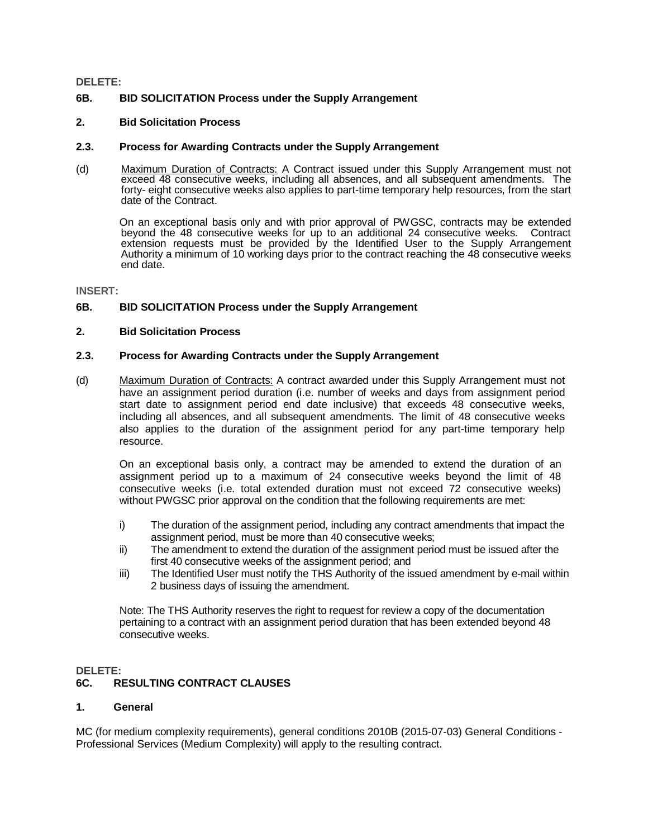#### **DELETE:**

## **6B. BID SOLICITATION Process under the Supply Arrangement**

### **2. Bid Solicitation Process**

### **2.3. Process for Awarding Contracts under the Supply Arrangement**

(d) Maximum Duration of Contracts: A Contract issued under this Supply Arrangement must not exceed 48 consecutive weeks, including all absences, and all subsequent amendments. The forty- eight consecutive weeks also applies to part-time temporary help resources, from the start date of the Contract.

On an exceptional basis only and with prior approval of PWGSC, contracts may be extended beyond the 48 consecutive weeks for up to an additional 24 consecutive weeks. Contract extension requests must be provided by the Identified User to the Supply Arrangement Authority a minimum of 10 working days prior to the contract reaching the 48 consecutive weeks end date.

#### **INSERT:**

## **6B. BID SOLICITATION Process under the Supply Arrangement**

## **2. Bid Solicitation Process**

### **2.3. Process for Awarding Contracts under the Supply Arrangement**

(d) Maximum Duration of Contracts: A contract awarded under this Supply Arrangement must not have an assignment period duration (i.e. number of weeks and days from assignment period start date to assignment period end date inclusive) that exceeds 48 consecutive weeks, including all absences, and all subsequent amendments. The limit of 48 consecutive weeks also applies to the duration of the assignment period for any part-time temporary help resource.

On an exceptional basis only, a contract may be amended to extend the duration of an assignment period up to a maximum of 24 consecutive weeks beyond the limit of 48 consecutive weeks (i.e. total extended duration must not exceed 72 consecutive weeks) without PWGSC prior approval on the condition that the following requirements are met:

- i) The duration of the assignment period, including any contract amendments that impact the assignment period, must be more than 40 consecutive weeks;
- ii) The amendment to extend the duration of the assignment period must be issued after the first 40 consecutive weeks of the assignment period; and
- iii) The Identified User must notify the THS Authority of the issued amendment by e-mail within 2 business days of issuing the amendment.

Note: The THS Authority reserves the right to request for review a copy of the documentation pertaining to a contract with an assignment period duration that has been extended beyond 48 consecutive weeks.

#### **DELETE:**

## **6C. RESULTING CONTRACT CLAUSES**

### **1. General**

MC (for medium complexity requirements), general conditions 2010B (2015-07-03) General Conditions - Professional Services (Medium Complexity) will apply to the resulting contract.